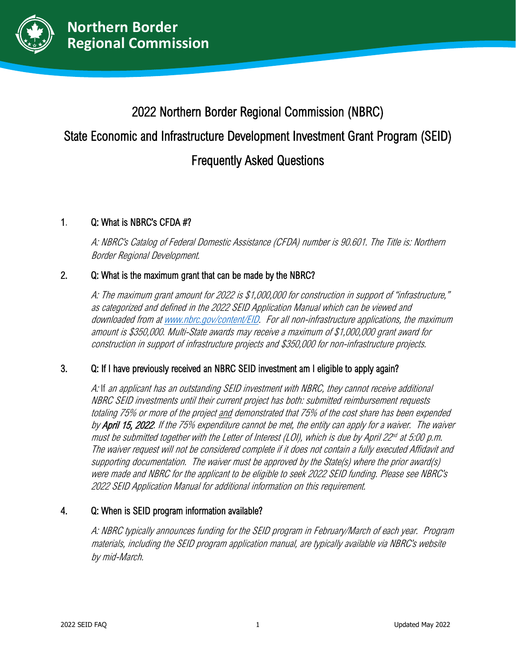

# 2022 Northern Border Regional Commission (NBRC)

# State Economic and Infrastructure Development Investment Grant Program (SEID)

# Frequently Asked Questions

## 1. Q: What is NBRC's CFDA #?

A: NBRC's Catalog of Federal Domestic Assistance (CFDA) number is 90.601. The Title is: Northern Border Regional Development.

# 2. Q: What is the maximum grant that can be made by the NBRC?

A: The maximum grant amount for 2022 is \$1,000,000 for construction in support of "infrastructure," as categorized and defined in the 2022 SEID Application Manual which can be viewed and downloaded from at [www.nbrc.gov/content/EID.](http://www.nbrc.gov/content/EID) For all non-infrastructure applications, the maximum amount is \$350,000. Multi-State awards may receive <sup>a</sup> maximum of \$1,000,000 grant award for construction in support of infrastructure projects and \$350,000 for non-infrastructure projects.

## 3. Q: If I have previously received an NBRC SEID investment am I eligible to apply again?

A: If an applicant has an outstanding SEID investment with NBRC, they cannot receive additional NBRC SEID investments until their current project has both: submitted reimbursement requests totaling 75% or more of the project and demonstrated that 75% of the cost share has been expended by **April 15, 2022**. If the 75% expenditure cannot be met, the entity can apply for a waiver. The waiver must be submitted together with the Letter of Interest (LOI), which is due by April 22<sup>nd</sup> at 5:00 p.m. The waiver request will not be considered complete if it does not contain <sup>a</sup> fully executed Affidavit and supporting documentation. The waiver must be approved by the State(s) where the prior award(s) were made and NBRC for the applicant to be eligible to seek 2022 SEID funding. Please see NBRC's 2022 SEID Application Manual for additional information on this requirement.

## 4. Q: When is SEID program information available?

A: NBRC typically announces funding for the SEID program in February/March of each year. Program materials, including the SEID program application manual, are typically available via NBRC's website by mid-March.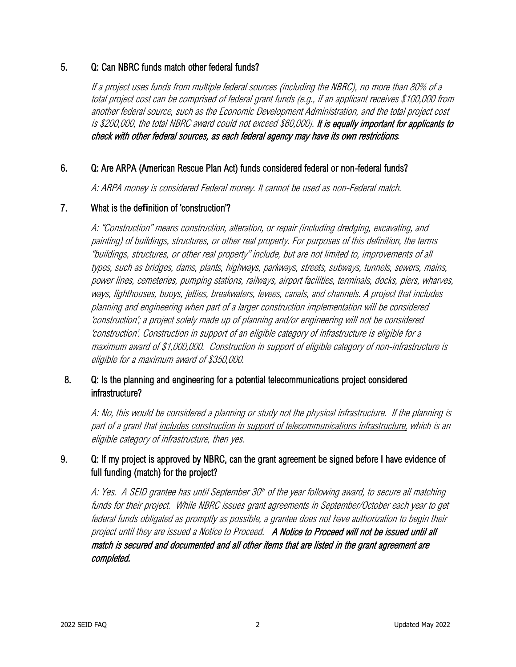#### 5. Q: Can NBRC funds match other federal funds?

If <sup>a</sup> project uses funds from multiple federal sources (including the NBRC), no more than 80% of <sup>a</sup> total project cost can be comprised of federal grant funds (e.g., if an applicant receives \$100,000 from another federal source, such as the Economic Development Administration, and the total project cost is \$200,000, the total NBRC award could not exceed \$60,000). It is equally important for applicants to check with other federal sources, as each federal agency may have its own restrictions.

#### 6. Q: Are ARPA (American Rescue Plan Act) funds considered federal or non-federal funds?

A: ARPA money is considered Federal money. It cannot be used as non-Federal match.

#### 7. What is the de**fi**nition of 'construction'?

A: "Construction" means construction, alteration, or repair (including dredging, excavating, and painting) of buildings, structures, or other real property. For purposes of this definition, the terms "buildings, structures, or other real property" include, but are not limited to, improvements of all types, such as bridges, dams, plants, highways, parkways, streets, subways, tunnels, sewers, mains, power lines, cemeteries, pumping stations, railways, airport facilities, terminals, docks, piers, wharves, ways, lighthouses, buoys, jetties, breakwaters, levees, canals, and channels. A project that includes planning and engineering when part of a larger construction implementation will be considered 'construction'; a project solely made up of planning and/or engineering will not be considered 'construction'. Construction in support of an eligible category of infrastructure is eligible for a maximum award of \$1,000,000. Construction in support of eligible category of non-infrastructure is eligible for a maximum award of \$350,000.

## 8. Q: Is the planning and engineering for a potential telecommunications project considered infrastructure?

A: No, this would be considered a planning or study not the physical infrastructure. If the planning is part of a grant that includes construction in support of telecommunications infrastructure, which is an eligible category of infrastructure, then yes.

## 9. Q: If my project is approved by NBRC, can the grant agreement be signed before I have evidence of full funding (match) for the project?

A: Yes. A SEID grantee has until September 30<sup>th</sup> of the year following award, to secure all matching funds for their project. While NBRC issues grant agreements in September/October each year to get federal funds obligated as promptly as possible, a grantee does not have authorization to begin their project until they are issued a Notice to Proceed. A Notice to Proceed will not be issued until all match is secured and documented and all other items that are listed in the grant agreement are completed.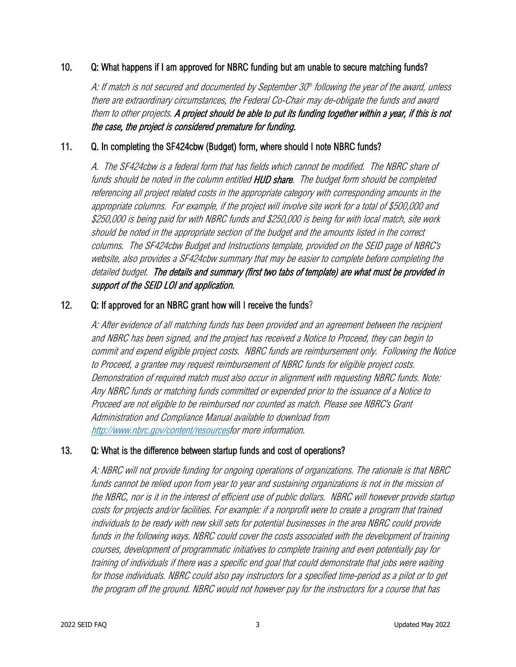#### 10. Q: What happens if I am approved for NBRC funding but am unable to secure matching funds?

A: If match is not secured and documented by September  $30<sup>h</sup>$  following the year of the award, unless there are extraordinary circumstances, the Federal Co-Chair may de-obligate the funds and award them to other projects. A project should be able to put its funding together within a year, if this is not the case, the project is considered premature for funding.

#### 11. Q. In completing the SF424cbw (Budget) form, where should I note NBRC funds?

 A. The SF424cbw is a federal form that has fields which cannot be modified. The NBRC share of funds should be noted in the column entitled HUD share. The budget form should be completed referencing all project related costs in the appropriate category with corresponding amounts in the appropriate columns. For example, if the project will involve site work for a total of \$500,000 and \$250,000 is being paid for with NBRC funds and \$250,000 is being for with local match, site work should be noted in the appropriate section of the budget and the amounts listed in the correct columns. The SF424cbw Budget and Instructions template, provided on the SEID page of NBRC's website, also provides a SF424cbw summary that may be easier to complete before completing the detailed budget. The details and summary (first two tabs of template) are what must be provided in support of the SEID LOI and application.

#### 12. Q: If approved for an NBRC grant how will I receive the funds?

A: After evidence of all matching funds has been provided and an agreement between the recipient and NBRC has been signed, and the project has received a Notice to Proceed, they can begin to commit and expend eligible project costs. NBRC funds are reimbursement only. Following the Notice to Proceed, a grantee may request reimbursement of NBRC funds for eligible project costs. Demonstration of required match must also occur in alignment with requesting NBRC funds. Note: Any NBRC funds or matching funds committed or expended prior to the issuance of a Notice to Proceed are not eligible to be reimbursed nor counted as match. Please see NBRC's Grant Administration and Compliance Manual available to download from [http://www.nbrc.gov/content/resourcesf](http://www.nbrc.gov/content/resources)or more information.

#### 13. Q: What is the difference between startup funds and cost of operations?

A: NBRC will not provide funding for ongoing operations of organizations. The rationale is that NBRC funds cannot be relied upon from year to year and sustaining organizations is not in the mission of the NBRC, nor is it in the interest of efficient use of public dollars. NBRC will however provide startup costs for projects and/or facilities. For example: if a nonprofit were to create a program that trained individuals to be ready with new skill sets for potential businesses in the area NBRC could provide funds in the following ways. NBRC could cover the costs associated with the development of training courses, development of programmatic initiatives to complete training and even potentially pay for training of individuals if there was a specific end goal that could demonstrate that jobs were waiting for those individuals. NBRC could also pay instructors for a specified time-period as a pilot or to get the program off the ground. NBRC would not however pay for the instructors for a course that has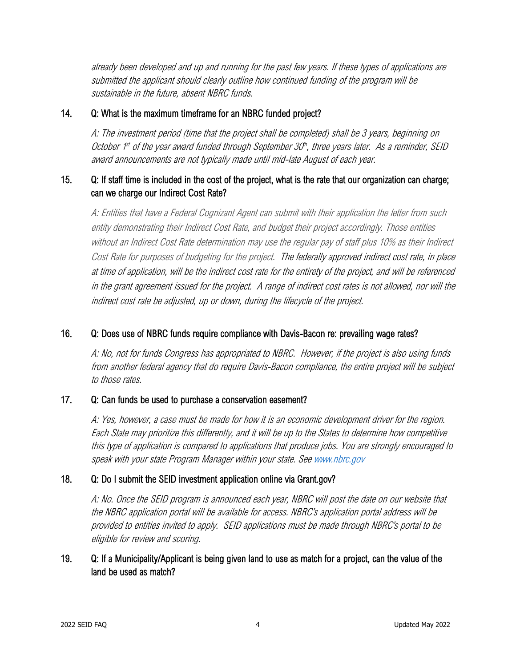already been developed and up and running for the past few years. If these types of applications are submitted the applicant should clearly outline how continued funding of the program will be sustainable in the future, absent NBRC funds.

#### 14. Q: What is the maximum timeframe for an NBRC funded project?

A: The investment period (time that the project shall be completed) shall be 3 years, beginning on October  $1<sup>st</sup>$  of the year award funded through September 30<sup>th</sup>, three years later. As a reminder, SEID award announcements are not typically made until mid-late August of each year.

# 15. Q: If staff time is included in the cost of the project, what is the rate that our organization can charge; can we charge our Indirect Cost Rate?

A: Entities that have <sup>a</sup> Federal Cognizant Agent can submit with their application the letter from such entity demonstrating their Indirect Cost Rate, and budget their project accordingly. Those entities without an Indirect Cost Rate determination may use the regular pay of staff plus 10% as their Indirect Cost Rate for purposes of budgeting for the project. The federally approved indirect cost rate, in place at time of application, will be the indirect cost rate for the entirety of the project, and will be referenced in the grant agreement issued for the project. A range of indirect cost rates is not allowed, nor will the indirect cost rate be adjusted, up or down, during the lifecycle of the project.

## 16. Q: Does use of NBRC funds require compliance with Davis-Bacon re: prevailing wage rates?

A: No, not for funds Congress has appropriated to NBRC. However, if the project is also using funds from another federal agency that do require Davis-Bacon compliance, the entire project will be subject to those rates.

#### 17. Q: Can funds be used to purchase a conservation easement?

A: Yes, however, a case must be made for how it is an economic development driver for the region. Each State may prioritize this differently, and it will be up to the States to determine how competitive this type of application is compared to applications that produce jobs. You are strongly encouraged to speak with your state Program Manager within your state. Se[e www.nbrc.gov](http://www.nbrc.gov/)

## 18. Q: Do I submit the SEID investment application online via Grant.gov?

A: No. Once the SEID program is announced each year, NBRC will post the date on our website that the NBRC application portal will be available for access. NBRC's application portal address will be provided to entities invited to apply. SEID applications must be made through NBRC's portal to be eligible for review and scoring.

## 19. Q: If a Municipality/Applicant is being given land to use as match for a project, can the value of the land be used as match?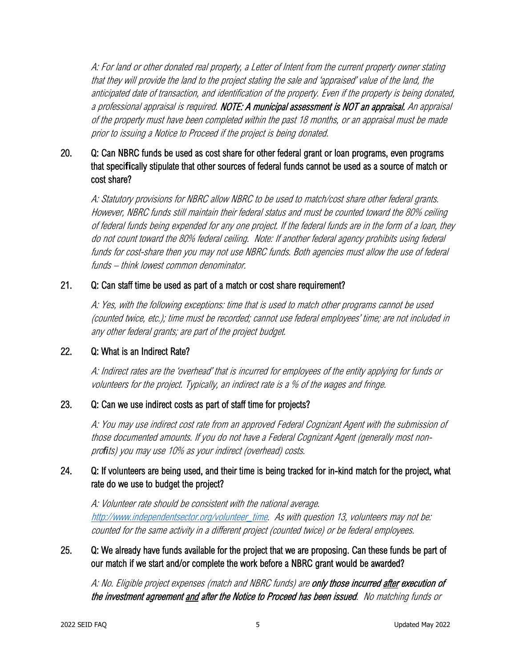A: For land or other donated real property, a Letter of Intent from the current property owner stating that they will provide the land to the project stating the sale and 'appraised' value of the land, the anticipated date of transaction, and identification of the property. Even if the property is being donated, a professional appraisal is required. NOTE: A municipal assessment is NOT an appraisal. An appraisal of the property must have been completed within the past 18 months, or an appraisal must be made prior to issuing a Notice to Proceed if the project is being donated.

# 20. Q: Can NBRC funds be used as cost share for other federal grant or loan programs, even programs that speci**fi**cally stipulate that other sources of federal funds cannot be used as a source of match or cost share?

A: Statutory provisions for NBRC allow NBRC to be used to match/cost share other federal grants. However, NBRC funds still maintain their federal status and must be counted toward the 80% ceiling of federal funds being expended for any one project. If the federal funds are in the form of a loan, they do not count toward the 80% federal ceiling. Note: If another federal agency prohibits using federal funds for cost-share then you may not use NBRC funds. Both agencies must allow the use of federal funds – think lowest common denominator.

#### 21. Q: Can staff time be used as part of a match or cost share requirement?

A: Yes, with the following exceptions: time that is used to match other programs cannot be used (counted twice, etc.); time must be recorded; cannot use federal employees' time; are not included in any other federal grants; are part of the project budget.

#### 22. Q: What is an Indirect Rate?

 A: Indirect rates are the 'overhead' that is incurred for employees of the entity applying for funds or volunteers for the project. Typically, an indirect rate is a % of the wages and fringe.

#### 23. Q: Can we use indirect costs as part of staff time for projects?

A: You may use indirect cost rate from an approved Federal Cognizant Agent with the submission of those documented amounts. If you do not have a Federal Cognizant Agent (generally most nonpro*fi*ts) you may use 10% as your indirect (overhead) costs.

# 24. Q: If volunteers are being used, and their time is being tracked for in-kind match for the project, what rate do we use to budget the project?

A: Volunteer rate should be consistent with the national average. [http://www.independentsector.org/volunteer\\_time.](http://www.independentsector.org/volunteer_time) As with question 13, volunteers may not be: counted for the same activity in a different project (counted twice) or be federal employees.

## 25. Q: We already have funds available for the project that we are proposing. Can these funds be part of our match if we start and/or complete the work before a NBRC grant would be awarded?

A: No. Eligible project expenses (match and NBRC funds) are only those incurred after execution of the investment agreement and after the Notice to Proceed has been issued. No matching funds or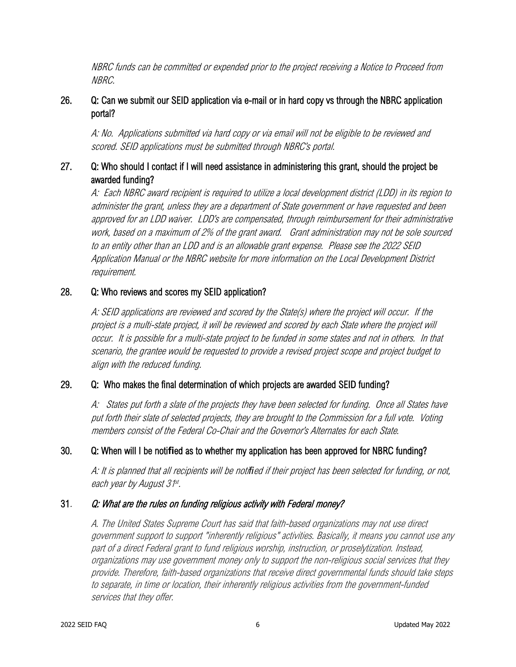NBRC funds can be committed or expended prior to the project receiving a Notice to Proceed from NBRC.

# 26. Q: Can we submit our SEID application via e-mail or in hard copy vs through the NBRC application portal?

 A: No. Applications submitted via hard copy or via email will not be eligible to be reviewed and scored. SEID applications must be submitted through NBRC's portal.

# 27. Q: Who should I contact if I will need assistance in administering this grant, should the project be awarded funding?

A: Each NBRC award recipient is required to utilize a local development district (LDD) in its region to administer the grant, unless they are a department of State government or have requested and been approved for an LDD waiver. LDD's are compensated, through reimbursement for their administrative work, based on a maximum of 2% of the grant award. Grant administration may not be sole sourced to an entity other than an LDD and is an allowable grant expense. Please see the 2022 SEID Application Manual or the NBRC website for more information on the Local Development District requirement.

#### 28. Q: Who reviews and scores my SEID application?

A: SEID applications are reviewed and scored by the State(s) where the project will occur. If the project is a multi-state project, it will be reviewed and scored by each State where the project will occur. It is possible for a multi-state project to be funded in some states and not in others. In that scenario, the grantee would be requested to provide a revised project scope and project budget to align with the reduced funding.

## 29. Q: Who makes the final determination of which projects are awarded SEID funding?

A: States put forth a slate of the projects they have been selected for funding. Once all States have put forth their slate of selected projects, they are brought to the Commission for a full vote. Voting members consist of the Federal Co-Chair and the Governor's Alternates for each State.

## 30. Q: When will I be noti**fi**ed as to whether my application has been approved for NBRC funding?

A: It is planned that all recipients will be noti*fi*ed if their project has been selected for funding, or not, each year by August 31<sup>st</sup>.

## 31. Q: What are the rules on funding religious activity with Federal money?

A. The United States Supreme Court has said that faith-based organizations may not use direct government support to support "inherently religious" activities. Basically, it means you cannot use any part of a direct Federal grant to fund religious worship, instruction, or proselytization. Instead, organizations may use government money only to support the non-religious social services that they provide. Therefore, faith-based organizations that receive direct governmental funds should take steps to separate, in time or location, their inherently religious activities from the government-funded services that they offer.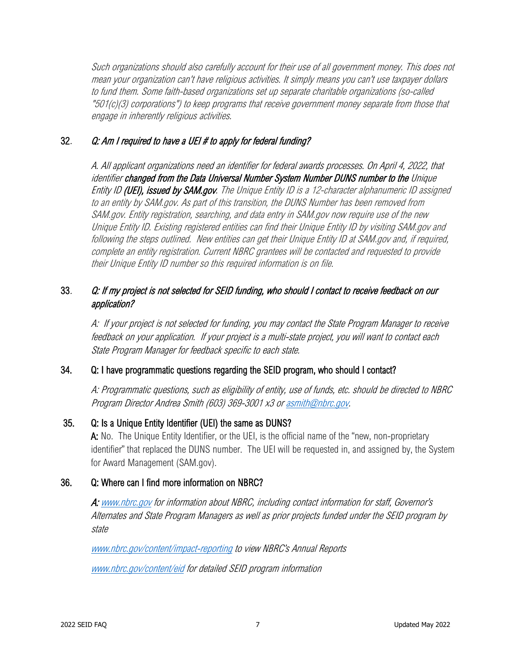Such organizations should also carefully account for their use of all government money. This does not mean your organization can't have religious activities. It simply means you can't use taxpayer dollars to fund them. Some faith-based organizations set up separate charitable organizations (so-called "501(c)(3) corporations") to keep programs that receive government money separate from those that engage in inherently religious activities.

# 32. Q: Am I required to have a UEI # to apply for federal funding?

A. All applicant organizations need an identifier for federal awards processes. On April 4, 2022, that identifier changed from the Data Universal Number System Number DUNS number to the Unique Entity ID (UEI), issued by SAM.gov. The Unique Entity ID is a 12-character alphanumeric ID assigned to an entity by SAM.gov. As part of this transition, the DUNS Number has been removed from SAM.gov. Entity registration, searching, and data entry in SAM.gov now require use of the new Unique Entity ID. Existing registered entities can find their Unique Entity ID by visiting SAM.gov and following the steps outlined. New entities can get their Unique Entity ID at SAM.gov and, if required, complete an entity registration. Current NBRC grantees will be contacted and requested to provide their Unique Entity ID number so this required information is on file.

# 33. Q: If my project is not selected for SEID funding, who should I contact to receive feedback on our application?

A: If your project is not selected for funding, you may contact the State Program Manager to receive feedback on your application. If your project is a multi-state project, you will want to contact each State Program Manager for feedback specific to each state.

## 34. Q: I have programmatic questions regarding the SEID program, who should I contact?

A: Programmatic questions, such as eligibility of entity, use of funds, etc. should be directed to NBRC Program Director Andrea Smith (603) 369-3001 x3 o[r asmith@nbrc.gov.](mailto:asmith@nbrc.gov)

## 35. Q: Is a Unique Entity Identifier (UEI) the same as DUNS?

A: No. The Unique Entity Identifier, or the UEI, is the official name of the "new, non-proprietary identifier" that replaced the DUNS number. The UEI will be requested in, and assigned by, the System for Award Management (SAM.gov).

## 36. Q: Where can I find more information on NBRC?

A[: www.nbrc.gov](http://www.nbrc.gov/) for information about NBRC, including contact information for staff, Governor's Alternates and State Program Managers as well as prior projects funded under the SEID program by state

[www.nbrc.gov/content/impact-reporting](http://www.nbrc.gov/content/impact-reporting) to view NBRC's Annual Reports [www.nbrc.gov/content/eid](http://www.nbrc.gov/content/eid) for detailed SEID program information